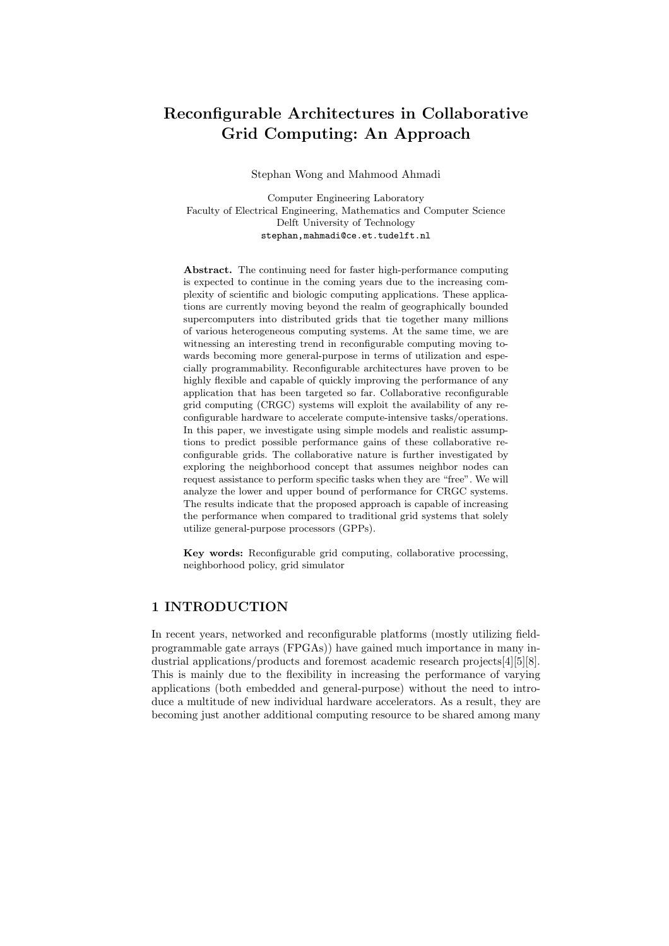# Reconfigurable Architectures in Collaborative Grid Computing: An Approach

Stephan Wong and Mahmood Ahmadi

Computer Engineering Laboratory Faculty of Electrical Engineering, Mathematics and Computer Science Delft University of Technology stephan,mahmadi@ce.et.tudelft.nl

Abstract. The continuing need for faster high-performance computing is expected to continue in the coming years due to the increasing complexity of scientific and biologic computing applications. These applications are currently moving beyond the realm of geographically bounded supercomputers into distributed grids that tie together many millions of various heterogeneous computing systems. At the same time, we are witnessing an interesting trend in reconfigurable computing moving towards becoming more general-purpose in terms of utilization and especially programmability. Reconfigurable architectures have proven to be highly flexible and capable of quickly improving the performance of any application that has been targeted so far. Collaborative reconfigurable grid computing (CRGC) systems will exploit the availability of any reconfigurable hardware to accelerate compute-intensive tasks/operations. In this paper, we investigate using simple models and realistic assumptions to predict possible performance gains of these collaborative reconfigurable grids. The collaborative nature is further investigated by exploring the neighborhood concept that assumes neighbor nodes can request assistance to perform specific tasks when they are "free". We will analyze the lower and upper bound of performance for CRGC systems. The results indicate that the proposed approach is capable of increasing the performance when compared to traditional grid systems that solely utilize general-purpose processors (GPPs).

Key words: Reconfigurable grid computing, collaborative processing, neighborhood policy, grid simulator

# 1 INTRODUCTION

In recent years, networked and reconfigurable platforms (mostly utilizing fieldprogrammable gate arrays (FPGAs)) have gained much importance in many industrial applications/products and foremost academic research projects[4][5][8]. This is mainly due to the flexibility in increasing the performance of varying applications (both embedded and general-purpose) without the need to introduce a multitude of new individual hardware accelerators. As a result, they are becoming just another additional computing resource to be shared among many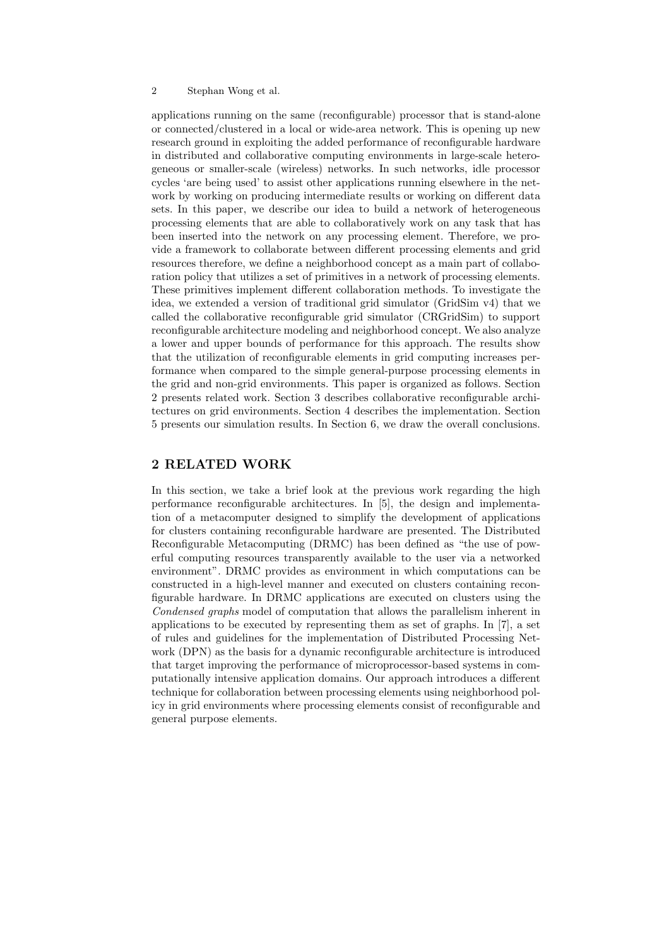#### 2 Stephan Wong et al.

applications running on the same (reconfigurable) processor that is stand-alone or connected/clustered in a local or wide-area network. This is opening up new research ground in exploiting the added performance of reconfigurable hardware in distributed and collaborative computing environments in large-scale heterogeneous or smaller-scale (wireless) networks. In such networks, idle processor cycles 'are being used' to assist other applications running elsewhere in the network by working on producing intermediate results or working on different data sets. In this paper, we describe our idea to build a network of heterogeneous processing elements that are able to collaboratively work on any task that has been inserted into the network on any processing element. Therefore, we provide a framework to collaborate between different processing elements and grid resources therefore, we define a neighborhood concept as a main part of collaboration policy that utilizes a set of primitives in a network of processing elements. These primitives implement different collaboration methods. To investigate the idea, we extended a version of traditional grid simulator (GridSim v4) that we called the collaborative reconfigurable grid simulator (CRGridSim) to support reconfigurable architecture modeling and neighborhood concept. We also analyze a lower and upper bounds of performance for this approach. The results show that the utilization of reconfigurable elements in grid computing increases performance when compared to the simple general-purpose processing elements in the grid and non-grid environments. This paper is organized as follows. Section 2 presents related work. Section 3 describes collaborative reconfigurable architectures on grid environments. Section 4 describes the implementation. Section 5 presents our simulation results. In Section 6, we draw the overall conclusions.

## 2 RELATED WORK

In this section, we take a brief look at the previous work regarding the high performance reconfigurable architectures. In [5], the design and implementation of a metacomputer designed to simplify the development of applications for clusters containing reconfigurable hardware are presented. The Distributed Reconfigurable Metacomputing (DRMC) has been defined as "the use of powerful computing resources transparently available to the user via a networked environment". DRMC provides as environment in which computations can be constructed in a high-level manner and executed on clusters containing reconfigurable hardware. In DRMC applications are executed on clusters using the Condensed graphs model of computation that allows the parallelism inherent in applications to be executed by representing them as set of graphs. In [7], a set of rules and guidelines for the implementation of Distributed Processing Network (DPN) as the basis for a dynamic reconfigurable architecture is introduced that target improving the performance of microprocessor-based systems in computationally intensive application domains. Our approach introduces a different technique for collaboration between processing elements using neighborhood policy in grid environments where processing elements consist of reconfigurable and general purpose elements.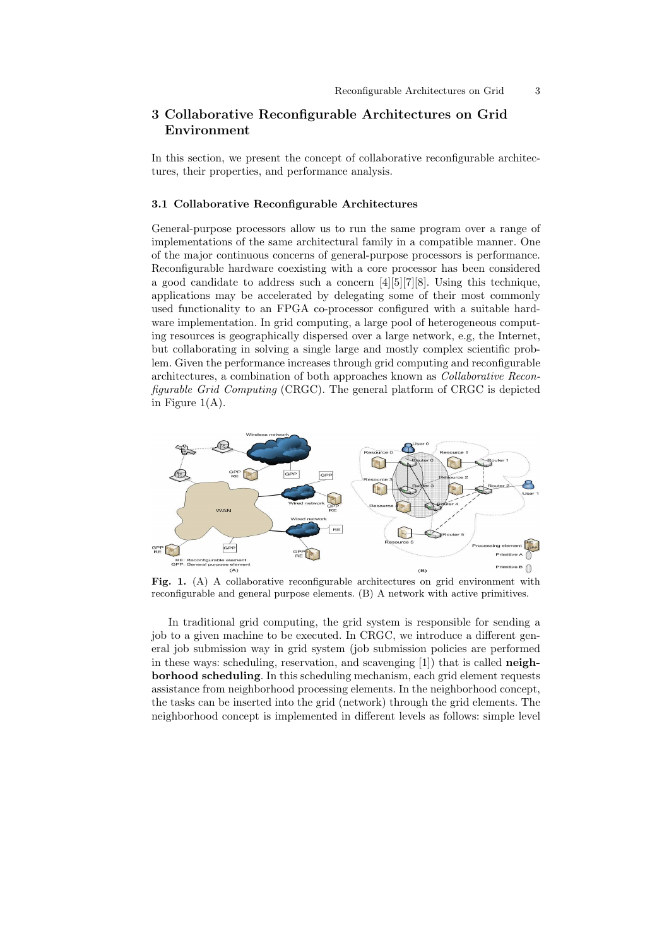# 3 Collaborative Reconfigurable Architectures on Grid Environment

In this section, we present the concept of collaborative reconfigurable architectures, their properties, and performance analysis.

#### 3.1 Collaborative Reconfigurable Architectures

General-purpose processors allow us to run the same program over a range of implementations of the same architectural family in a compatible manner. One of the major continuous concerns of general-purpose processors is performance. Reconfigurable hardware coexisting with a core processor has been considered a good candidate to address such a concern [4][5][7][8]. Using this technique, applications may be accelerated by delegating some of their most commonly used functionality to an FPGA co-processor configured with a suitable hardware implementation. In grid computing, a large pool of heterogeneous computing resources is geographically dispersed over a large network, e.g, the Internet, but collaborating in solving a single large and mostly complex scientific problem. Given the performance increases through grid computing and reconfigurable architectures, a combination of both approaches known as Collaborative Reconfigurable Grid Computing (CRGC). The general platform of CRGC is depicted in Figure  $1(A)$ .



Fig. 1. (A) A collaborative reconfigurable architectures on grid environment with reconfigurable and general purpose elements. (B) A network with active primitives.

In traditional grid computing, the grid system is responsible for sending a job to a given machine to be executed. In CRGC, we introduce a different general job submission way in grid system (job submission policies are performed in these ways: scheduling, reservation, and scavenging [1]) that is called neighborhood scheduling. In this scheduling mechanism, each grid element requests assistance from neighborhood processing elements. In the neighborhood concept, the tasks can be inserted into the grid (network) through the grid elements. The neighborhood concept is implemented in different levels as follows: simple level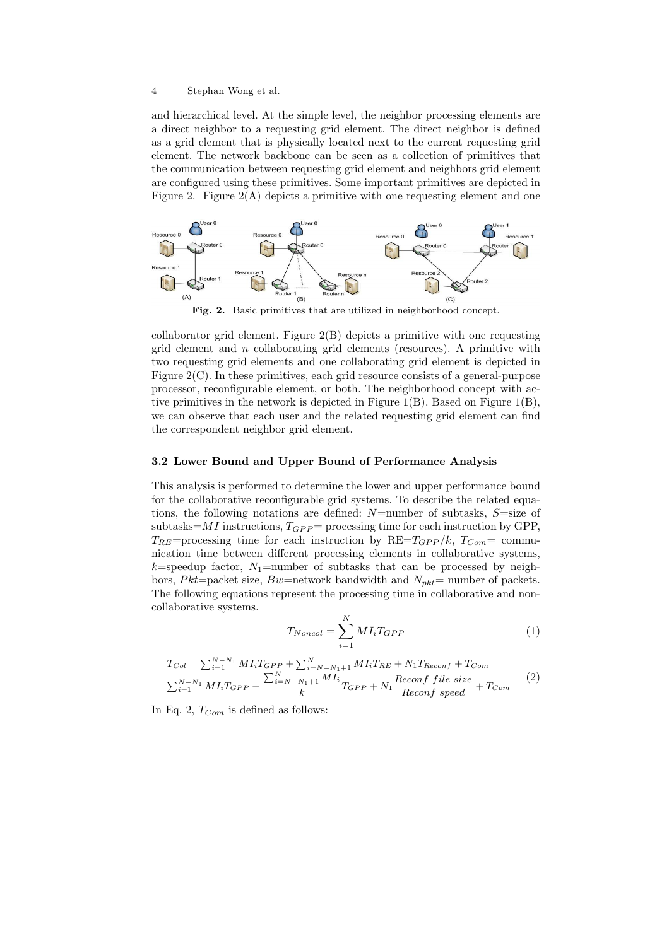#### 4 Stephan Wong et al.

and hierarchical level. At the simple level, the neighbor processing elements are a direct neighbor to a requesting grid element. The direct neighbor is defined as a grid element that is physically located next to the current requesting grid element. The network backbone can be seen as a collection of primitives that the communication between requesting grid element and neighbors grid element are configured using these primitives. Some important primitives are depicted in Figure 2. Figure 2(A) depicts a primitive with one requesting element and one



Fig. 2. Basic primitives that are utilized in neighborhood concept.

collaborator grid element. Figure 2(B) depicts a primitive with one requesting grid element and  $n$  collaborating grid elements (resources). A primitive with two requesting grid elements and one collaborating grid element is depicted in Figure 2(C). In these primitives, each grid resource consists of a general-purpose processor, reconfigurable element, or both. The neighborhood concept with active primitives in the network is depicted in Figure 1(B). Based on Figure 1(B), we can observe that each user and the related requesting grid element can find the correspondent neighbor grid element.

## 3.2 Lower Bound and Upper Bound of Performance Analysis

This analysis is performed to determine the lower and upper performance bound for the collaborative reconfigurable grid systems. To describe the related equations, the following notations are defined:  $N$ =number of subtasks,  $S$ =size of subtasks= $MI$  instructions,  $T_{GPP}$  = processing time for each instruction by GPP,  $T_{RE}$ =processing time for each instruction by  $RE = T_{GPP} / k$ ,  $T_{Com} =$  communication time between different processing elements in collaborative systems,  $k$ =speedup factor,  $N_1$ =number of subtasks that can be processed by neighbors, Pkt=packet size, Bw=network bandwidth and  $N_{pkt}=$  number of packets. The following equations represent the processing time in collaborative and noncollaborative systems.

$$
T_{Noncol} = \sum_{i=1}^{N} M I_i T_{GPP} \tag{1}
$$

$$
T_{Col} = \sum_{i=1}^{N-N_1} M I_i T_{GPP} + \sum_{i=N-N_1+1}^{N} M I_i T_{RE} + N_1 T_{Reconf} + T_{Com} =
$$
  

$$
\sum_{i=1}^{N-N_1} M I_i T_{GPP} + \frac{\sum_{i=N-N_1+1}^{N} M I_i}{k} T_{GPP} + N_1 \frac{Reconf\ file\ size}{Reconf\ speed} + T_{Com}
$$
 (2)

In Eq. 2,  $T_{Com}$  is defined as follows: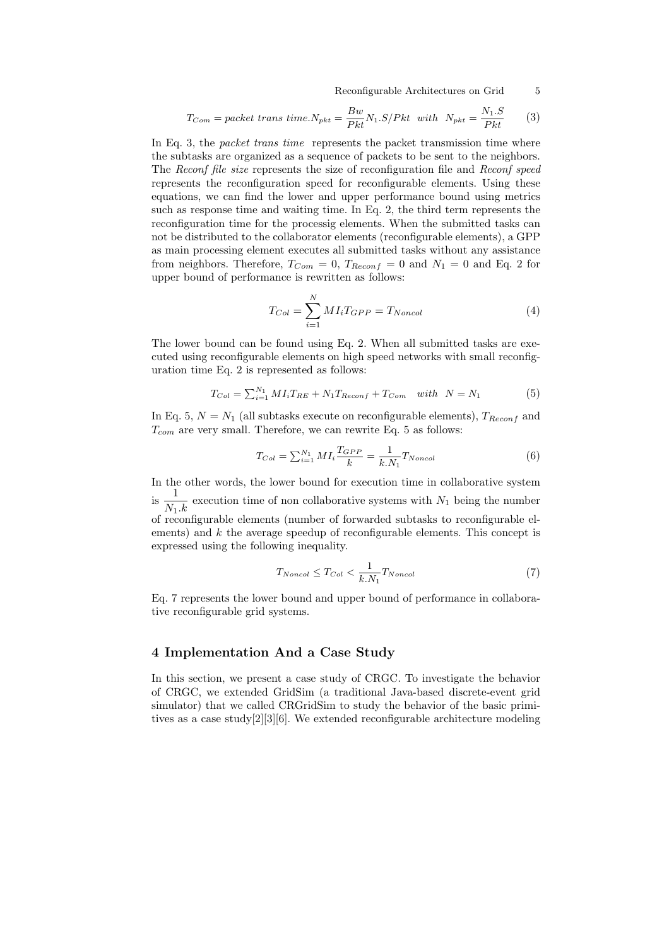Reconfigurable Architectures on Grid 5

$$
T_{Com} = packet \; trans \; time.N_{pkt} = \frac{Bw}{Pkt}N_1.S/Pkt \; \; with \; N_{pkt} = \frac{N_1.S}{Pkt} \qquad (3)
$$

In Eq. 3, the *packet trans time* represents the packet transmission time where the subtasks are organized as a sequence of packets to be sent to the neighbors. The Reconf file size represents the size of reconfiguration file and Reconf speed represents the reconfiguration speed for reconfigurable elements. Using these equations, we can find the lower and upper performance bound using metrics such as response time and waiting time. In Eq. 2, the third term represents the reconfiguration time for the processig elements. When the submitted tasks can not be distributed to the collaborator elements (reconfigurable elements), a GPP as main processing element executes all submitted tasks without any assistance from neighbors. Therefore,  $T_{Com} = 0$ ,  $T_{Reconf} = 0$  and  $N_1 = 0$  and Eq. 2 for upper bound of performance is rewritten as follows:

$$
T_{Col} = \sum_{i=1}^{N} M I_i T_{GPP} = T_{Noncol}
$$
\n<sup>(4)</sup>

The lower bound can be found using Eq. 2. When all submitted tasks are executed using reconfigurable elements on high speed networks with small reconfiguration time Eq. 2 is represented as follows:

$$
T_{Col} = \sum_{i=1}^{N_1} M I_i T_{RE} + N_1 T_{Reconf} + T_{Com} \quad with \quad N = N_1 \tag{5}
$$

In Eq. 5,  $N = N_1$  (all subtasks execute on reconfigurable elements),  $T_{Reconf}$  and  $T_{com}$  are very small. Therefore, we can rewrite Eq. 5 as follows:

$$
T_{Col} = \sum_{i=1}^{N_1} M I_i \frac{T_{GPP}}{k} = \frac{1}{k.N_1} T_{Noncol}
$$
 (6)

In the other words, the lower bound for execution time in collaborative system is  $\frac{1}{N_1.k}$  execution time of non collaborative systems with  $N_1$  being the number of reconfigurable elements (number of forwarded subtasks to reconfigurable elements) and  $k$  the average speedup of reconfigurable elements. This concept is expressed using the following inequality.

$$
T_{Noncol} \le T_{Col} < \frac{1}{k.N_1} T_{Noncol} \tag{7}
$$

Eq. 7 represents the lower bound and upper bound of performance in collaborative reconfigurable grid systems.

#### 4 Implementation And a Case Study

In this section, we present a case study of CRGC. To investigate the behavior of CRGC, we extended GridSim (a traditional Java-based discrete-event grid simulator) that we called CRGridSim to study the behavior of the basic primitives as a case study[2][3][6]. We extended reconfigurable architecture modeling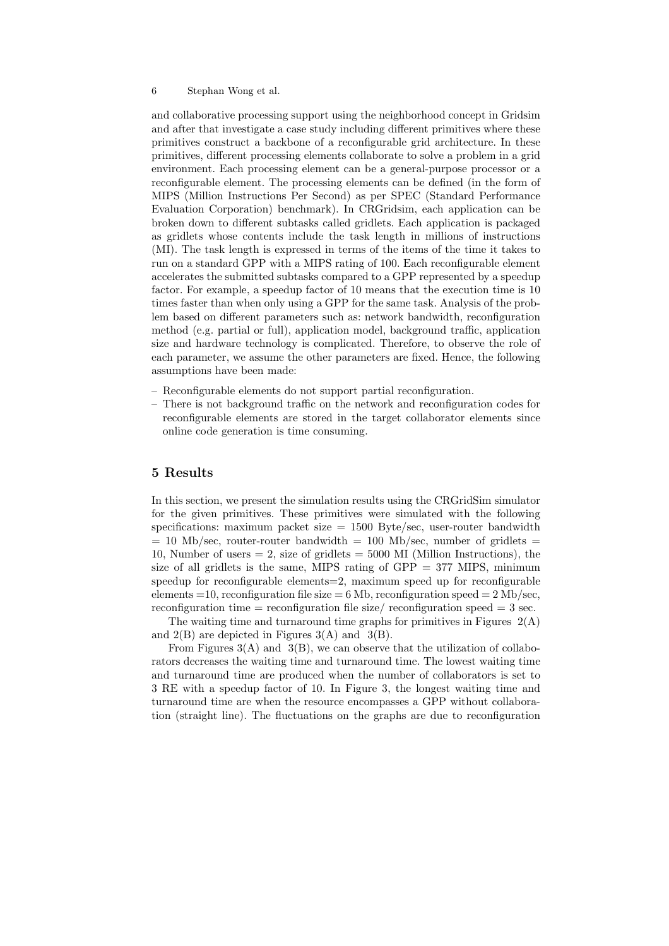#### 6 Stephan Wong et al.

and collaborative processing support using the neighborhood concept in Gridsim and after that investigate a case study including different primitives where these primitives construct a backbone of a reconfigurable grid architecture. In these primitives, different processing elements collaborate to solve a problem in a grid environment. Each processing element can be a general-purpose processor or a reconfigurable element. The processing elements can be defined (in the form of MIPS (Million Instructions Per Second) as per SPEC (Standard Performance Evaluation Corporation) benchmark). In CRGridsim, each application can be broken down to different subtasks called gridlets. Each application is packaged as gridlets whose contents include the task length in millions of instructions (MI). The task length is expressed in terms of the items of the time it takes to run on a standard GPP with a MIPS rating of 100. Each reconfigurable element accelerates the submitted subtasks compared to a GPP represented by a speedup factor. For example, a speedup factor of 10 means that the execution time is 10 times faster than when only using a GPP for the same task. Analysis of the problem based on different parameters such as: network bandwidth, reconfiguration method (e.g. partial or full), application model, background traffic, application size and hardware technology is complicated. Therefore, to observe the role of each parameter, we assume the other parameters are fixed. Hence, the following assumptions have been made:

- Reconfigurable elements do not support partial reconfiguration.
- There is not background traffic on the network and reconfiguration codes for reconfigurable elements are stored in the target collaborator elements since online code generation is time consuming.

## 5 Results

In this section, we present the simulation results using the CRGridSim simulator for the given primitives. These primitives were simulated with the following specifications: maximum packet size  $= 1500$  Byte/sec, user-router bandwidth  $= 10$  Mb/sec, router-router bandwidth  $= 100$  Mb/sec, number of gridlets  $=$ 10, Number of users  $= 2$ , size of gridlets  $= 5000$  MI (Million Instructions), the size of all gridlets is the same, MIPS rating of  $GPP = 377$  MIPS, minimum speedup for reconfigurable elements=2, maximum speed up for reconfigurable elements  $=10$ , reconfiguration file size  $= 6$  Mb, reconfiguration speed  $= 2$  Mb/sec, reconfiguration time  $=$  reconfiguration file size/ reconfiguration speed  $=$  3 sec.

The waiting time and turnaround time graphs for primitives in Figures  $2(A)$ and  $2(B)$  are depicted in Figures  $3(A)$  and  $3(B)$ .

From Figures  $3(A)$  and  $3(B)$ , we can observe that the utilization of collaborators decreases the waiting time and turnaround time. The lowest waiting time and turnaround time are produced when the number of collaborators is set to 3 RE with a speedup factor of 10. In Figure 3, the longest waiting time and turnaround time are when the resource encompasses a GPP without collaboration (straight line). The fluctuations on the graphs are due to reconfiguration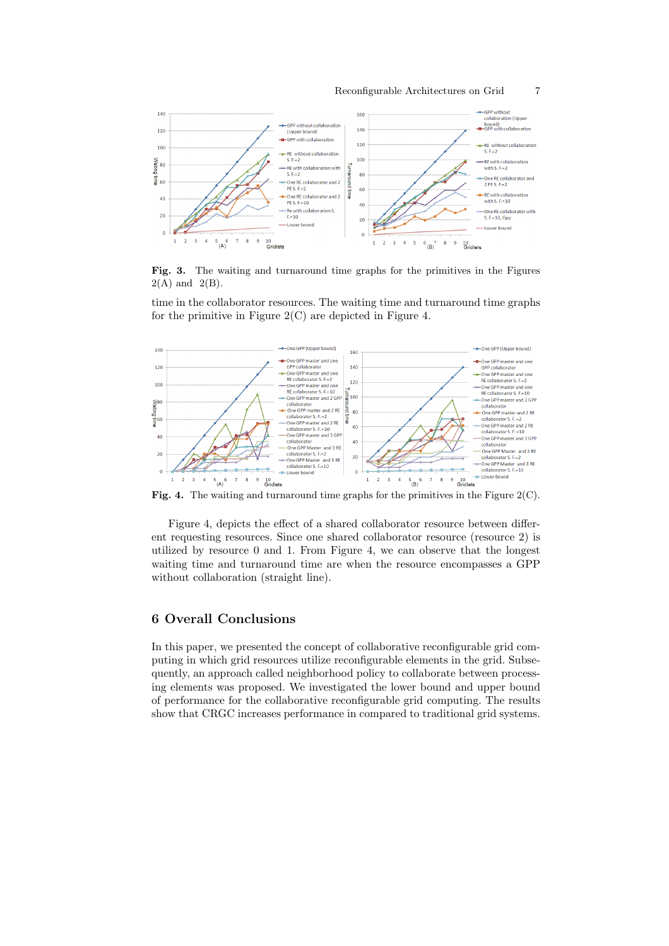

Fig. 3. The waiting and turnaround time graphs for the primitives in the Figures  $2(A)$  and  $2(B)$ .

time in the collaborator resources. The waiting time and turnaround time graphs for the primitive in Figure  $2(C)$  are depicted in Figure 4.



Fig. 4. The waiting and turnaround time graphs for the primitives in the Figure  $2(C)$ .

Figure 4, depicts the effect of a shared collaborator resource between different requesting resources. Since one shared collaborator resource (resource 2) is utilized by resource 0 and 1. From Figure 4, we can observe that the longest waiting time and turnaround time are when the resource encompasses a GPP without collaboration (straight line).

# 6 Overall Conclusions

In this paper, we presented the concept of collaborative reconfigurable grid computing in which grid resources utilize reconfigurable elements in the grid. Subsequently, an approach called neighborhood policy to collaborate between processing elements was proposed. We investigated the lower bound and upper bound of performance for the collaborative reconfigurable grid computing. The results show that CRGC increases performance in compared to traditional grid systems.